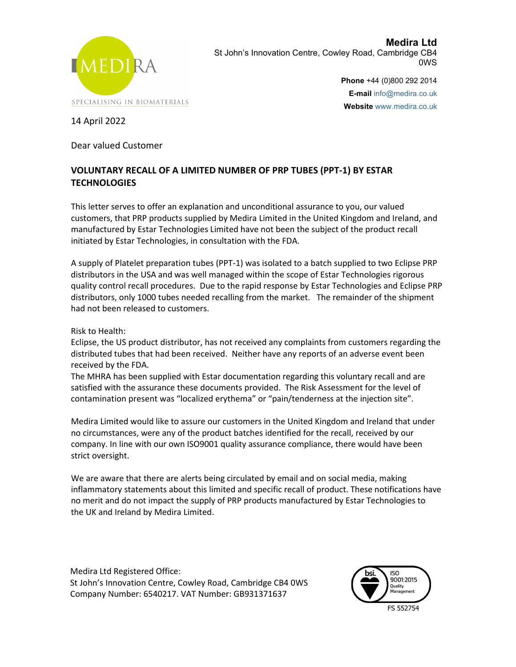

**Medira Ltd** St John's Innovation Centre, Cowley Road, Cambridge CB4 0WS

> **Phone** +44 (0)800 292 2014 **E-mail** info@medira.co.uk **Website** www.medira.co.uk

14 April 2022

Dear valued Customer

## **VOLUNTARY RECALL OF A LIMITED NUMBER OF PRP TUBES (PPT-1) BY ESTAR TECHNOLOGIES**

This letter serves to offer an explanation and unconditional assurance to you, our valued customers, that PRP products supplied by Medira Limited in the United Kingdom and Ireland, and manufactured by Estar Technologies Limited have not been the subject of the product recall initiated by Estar Technologies, in consultation with the FDA.

A supply of Platelet preparation tubes (PPT-1) was isolated to a batch supplied to two Eclipse PRP distributors in the USA and was well managed within the scope of Estar Technologies rigorous quality control recall procedures. Due to the rapid response by Estar Technologies and Eclipse PRP distributors, only 1000 tubes needed recalling from the market. The remainder of the shipment had not been released to customers.

Risk to Health:

Eclipse, the US product distributor, has not received any complaints from customers regarding the distributed tubes that had been received. Neither have any reports of an adverse event been received by the FDA.

The MHRA has been supplied with Estar documentation regarding this voluntary recall and are satisfied with the assurance these documents provided. The Risk Assessment for the level of contamination present was "localized erythema" or "pain/tenderness at the injection site".

Medira Limited would like to assure our customers in the United Kingdom and Ireland that under no circumstances, were any of the product batches identified for the recall, received by our company. In line with our own ISO9001 quality assurance compliance, there would have been strict oversight.

We are aware that there are alerts being circulated by email and on social media, making inflammatory statements about this limited and specific recall of product. These notifications have no merit and do not impact the supply of PRP products manufactured by Estar Technologies to the UK and Ireland by Medira Limited.

Medira Ltd Registered Office: St John's Innovation Centre, Cowley Road, Cambridge CB4 0WS Company Number: 6540217. VAT Number: GB931371637